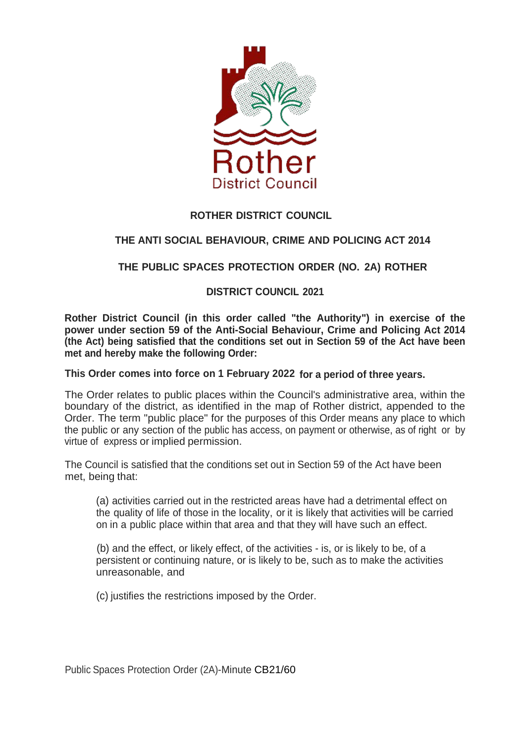

# **ROTHER DISTRICT COUNCIL**

# **THE ANTI SOCIAL BEHAVIOUR, CRIME AND POLICING ACT 2014**

## **THE PUBLIC SPACES PROTECTION ORDER (NO. 2A) ROTHER**

### **DISTRICT COUNCIL 2021**

 **Rother District Council (in this order called "the Authority") in exercise of the (the Act) being satisfied that the conditions set out in Section 59 of the Act have been met and hereby make the following Order: power under section 59 of the Anti-Social Behaviour, Crime and Policing Act 2014** 

#### **This Order comes into force on 1 February 2022 for a period of three years.**

 boundary of the district, as identified in the map of Rother district, appended to the the public or any section of the public has access, on payment or otherwise, as of right or by virtue of express or implied permission. The Order relates to public places within the Council's administrative area, within the Order. The term "public place" for the purposes of this Order means any place to which

 The Council is satisfied that the conditions set out in Section 59 of the Act have been met, being that:

 (a) activities carried out in the restricted areas have had a detrimental effect on the quality of life of those in the locality, or it is likely that activities will be carried on in a public place within that area and that they will have such an effect.

 (b) and the effect, or likely effect, of the activities - is, or is likely to be, of a persistent or continuing nature, or is likely to be, such as to make the activities unreasonable, and

(c) justifies the restrictions imposed by the Order.

Public Spaces Protection Order (2A)-Minute CB21/60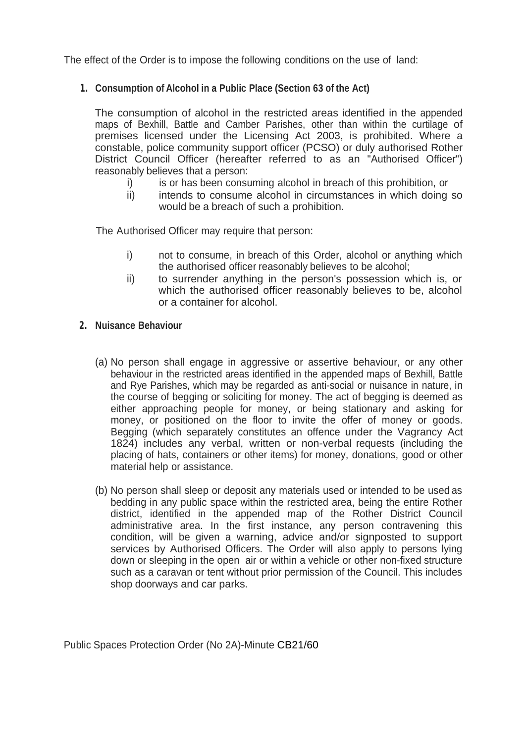The effect of the Order is to impose the following conditions on the use of land:

#### **1. Consumption of Alcohol in a Public Place (Section 63 of the Act)**

 maps of Bexhill, Battle and Camber Parishes, other than within the curtilage of District Council Officer (hereafter referred to as an "Authorised Officer") reasonably believes that a person: The consumption of alcohol in the restricted areas identified in the appended premises licensed under the Licensing Act 2003, is prohibited. Where a constable, police community support officer (PCSO) or duly authorised Rother

- i) is or has been consuming alcohol in breach of this prohibition, or
- ii) intends to consume alcohol in circumstances in which doing so would be a breach of such a prohibition.

The Authorised Officer may require that person:

- i) not to consume, in breach of this Order, alcohol or anything which the authorised officer reasonably believes to be alcohol;
- which the authorised officer reasonably believes to be, alcohol or a container for alcohol. ii) to surrender anything in the person's possession which is, or

#### **2. Nuisance Behaviour**

- (a) No person shall engage in aggressive or assertive behaviour, or any other behaviour in the restricted areas identified in the appended maps of Bexhill, Battle and Rye Parishes, which may be regarded as anti-social or nuisance in nature, in the course of begging or soliciting for money. The act of begging is deemed as money, or positioned on the floor to invite the offer of money or goods. Begging (which separately constitutes an offence under the Vagrancy Act 1824) includes any verbal, written or non-verbal requests (including the placing of hats, containers or other items) for money, donations, good or other material help or assistance. either approaching people for money, or being stationary and asking for
- administrative area. In the first instance, any person contravening this services by Authorised Officers. The Order will also apply to persons lying shop doorways and car parks. (b) No person shall sleep or deposit any materials used or intended to be used as bedding in any public space within the restricted area, being the entire Rother district, identified in the appended map of the Rother District Council condition, will be given a warning, advice and/or signposted to support down or sleeping in the open air or within a vehicle or other non-fixed structure such as a caravan or tent without prior permission of the Council. This includes

Public Spaces Protection Order (No 2A)-Minute CB21/60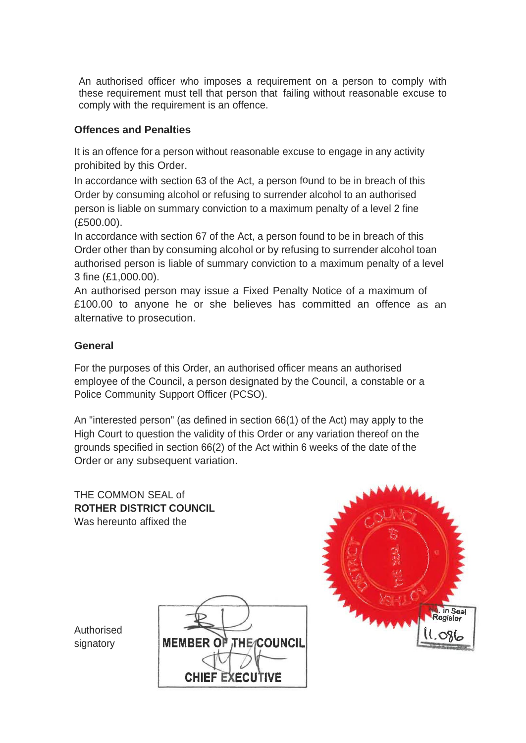these requirement must tell that person that failing without reasonable excuse to comply with the requirement is an offence. An authorised officer who imposes a requirement on a person to comply with

#### **Offences and Penalties**

 It is an offence for a person without reasonable excuse to engage in any activity prohibited by this Order.

 In accordance with section 63 of the Act, a person found to be in breach of this person is liable on summary conviction to a maximum penalty of a level 2 fine Order by consuming alcohol or refusing to surrender alcohol to an authorised (£500.00).

 In accordance with section 67 of the Act, a person found to be in breach of this Order other than by consuming alcohol or by refusing to surrender alcohol toan authorised person is liable of summary conviction to a maximum penalty of a level 3 fine ([£1,000.00](https://1,000.00)).

 An authorised person may issue a Fixed Penalty Notice of a maximum of alternative to prosecution. £100.00 to anyone he or she believes has committed an offence as an

### **General**

 employee of the Council, a person designated by the Council, a constable or a Police Community Support Officer (PCSO). For the purposes of this Order, an authorised officer means an authorised

 An "interested person" (as defined in section 66(1) of the Act) may apply to the High Court to question the validity of this Order or any variation thereof on the Order or any subsequent variation. grounds specified in section 66(2) of the Act within 6 weeks of the date of the

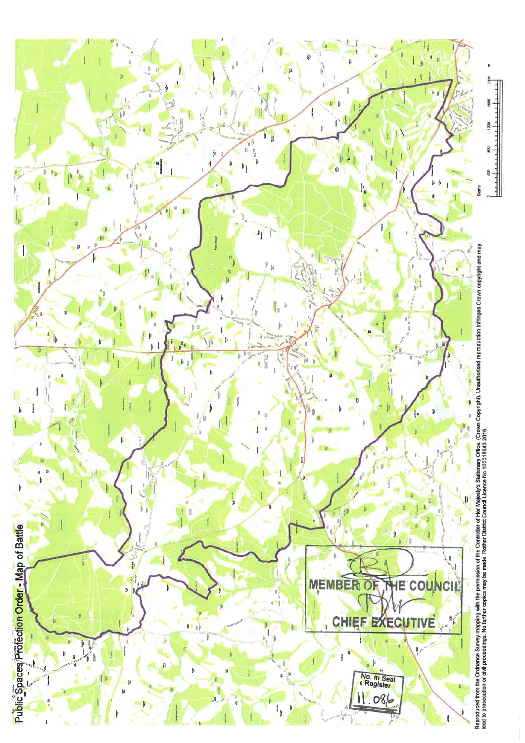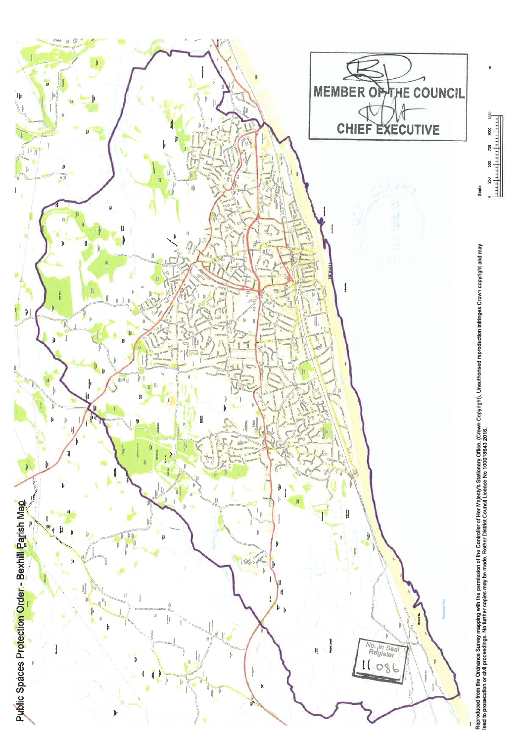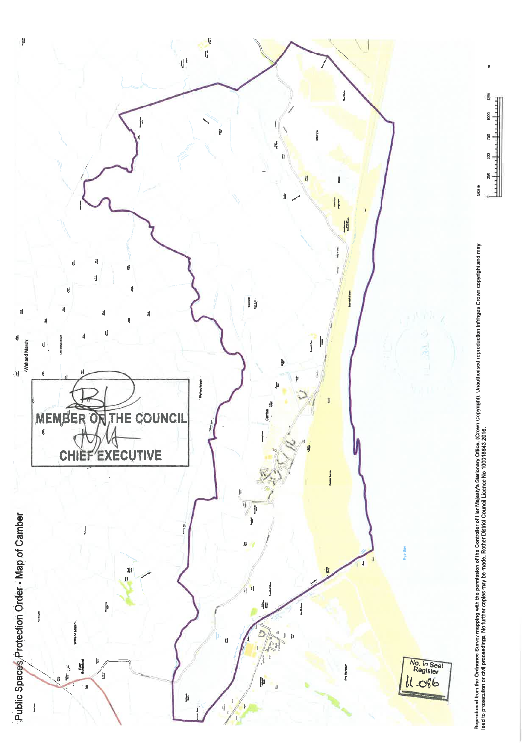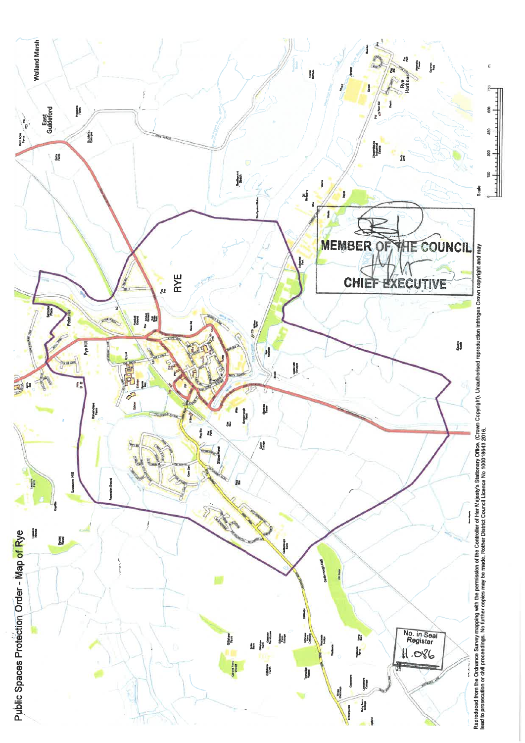